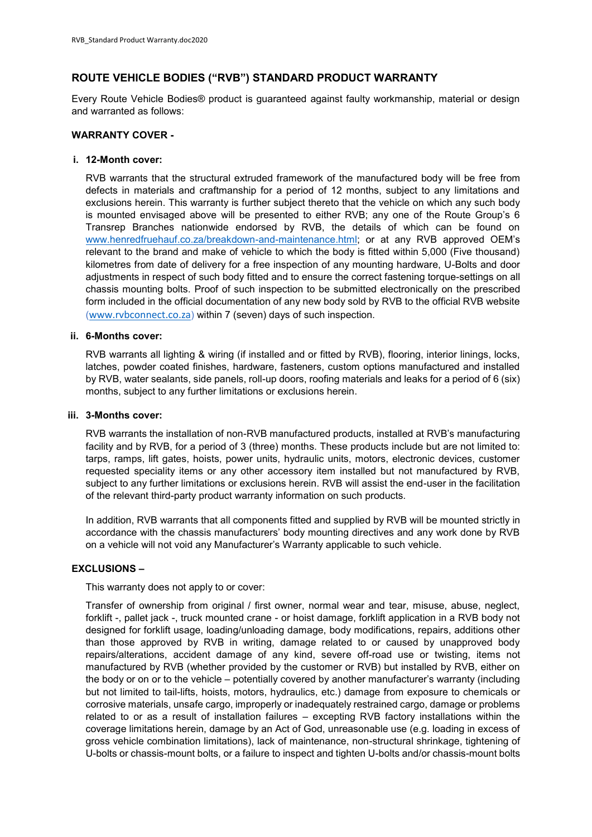# **ROUTE VEHICLE BODIES ("RVB") STANDARD PRODUCT WARRANTY**

Every Route Vehicle Bodies® product is guaranteed against faulty workmanship, material or design and warranted as follows:

## **WARRANTY COVER -**

## **i. 12-Month cover:**

RVB warrants that the structural extruded framework of the manufactured body will be free from defects in materials and craftmanship for a period of 12 months, subject to any limitations and exclusions herein. This warranty is further subject thereto that the vehicle on which any such body is mounted envisaged above will be presented to either RVB; any one of the Route Group's 6 Transrep Branches nationwide endorsed by RVB, the details of which can be found on [www.henredfruehauf.co.za/breakdown-and-maintenance.html;](http://www.henredfruehauf.co.za/breakdown-and-maintenance.html) or at any RVB approved OEM's relevant to the brand and make of vehicle to which the body is fitted within 5,000 (Five thousand) kilometres from date of delivery for a free inspection of any mounting hardware, U-Bolts and door adjustments in respect of such body fitted and to ensure the correct fastening torque-settings on all chassis mounting bolts. Proof of such inspection to be submitted electronically on the prescribed form included in the official documentation of any new body sold by RVB to the official RVB website ([www.rvbconnect.co.za](http://www.rvbconnect.co.za/)) within 7 (seven) days of such inspection.

# **ii. 6-Months cover:**

RVB warrants all lighting & wiring (if installed and or fitted by RVB), flooring, interior linings, locks, latches, powder coated finishes, hardware, fasteners, custom options manufactured and installed by RVB, water sealants, side panels, roll-up doors, roofing materials and leaks for a period of 6 (six) months, subject to any further limitations or exclusions herein.

#### **iii. 3-Months cover:**

RVB warrants the installation of non-RVB manufactured products, installed at RVB's manufacturing facility and by RVB, for a period of 3 (three) months. These products include but are not limited to: tarps, ramps, lift gates, hoists, power units, hydraulic units, motors, electronic devices, customer requested speciality items or any other accessory item installed but not manufactured by RVB, subject to any further limitations or exclusions herein. RVB will assist the end-user in the facilitation of the relevant third-party product warranty information on such products.

In addition, RVB warrants that all components fitted and supplied by RVB will be mounted strictly in accordance with the chassis manufacturers' body mounting directives and any work done by RVB on a vehicle will not void any Manufacturer's Warranty applicable to such vehicle.

## **EXCLUSIONS –**

This warranty does not apply to or cover:

Transfer of ownership from original / first owner, normal wear and tear, misuse, abuse, neglect, forklift -, pallet jack -, truck mounted crane - or hoist damage, forklift application in a RVB body not designed for forklift usage, loading/unloading damage, body modifications, repairs, additions other than those approved by RVB in writing, damage related to or caused by unapproved body repairs/alterations, accident damage of any kind, severe off-road use or twisting, items not manufactured by RVB (whether provided by the customer or RVB) but installed by RVB, either on the body or on or to the vehicle – potentially covered by another manufacturer's warranty (including but not limited to tail-lifts, hoists, motors, hydraulics, etc.) damage from exposure to chemicals or corrosive materials, unsafe cargo, improperly or inadequately restrained cargo, damage or problems related to or as a result of installation failures – excepting RVB factory installations within the coverage limitations herein, damage by an Act of God, unreasonable use (e.g. loading in excess of gross vehicle combination limitations), lack of maintenance, non-structural shrinkage, tightening of U-bolts or chassis-mount bolts, or a failure to inspect and tighten U-bolts and/or chassis-mount bolts